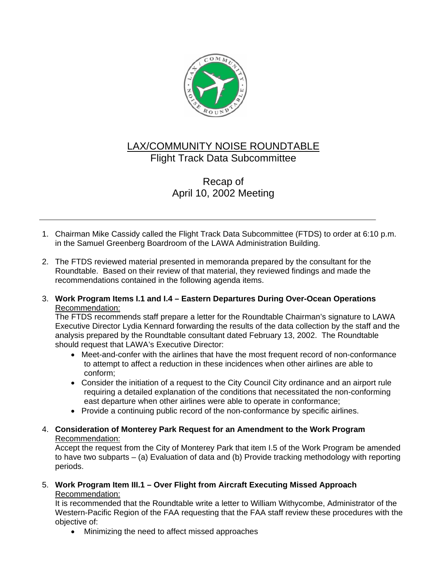

# LAX/COMMUNITY NOISE ROUNDTABLE Flight Track Data Subcommittee

# Recap of April 10, 2002 Meeting

- 1. Chairman Mike Cassidy called the Flight Track Data Subcommittee (FTDS) to order at 6:10 p.m. in the Samuel Greenberg Boardroom of the LAWA Administration Building.
- 2. The FTDS reviewed material presented in memoranda prepared by the consultant for the Roundtable. Based on their review of that material, they reviewed findings and made the recommendations contained in the following agenda items.

## 3. **Work Program Items I.1 and I.4 – Eastern Departures During Over-Ocean Operations** Recommendation:

The FTDS recommends staff prepare a letter for the Roundtable Chairman's signature to LAWA Executive Director Lydia Kennard forwarding the results of the data collection by the staff and the analysis prepared by the Roundtable consultant dated February 13, 2002. The Roundtable should request that LAWA's Executive Director:

- Meet-and-confer with the airlines that have the most frequent record of non-conformance to attempt to affect a reduction in these incidences when other airlines are able to conform;
- Consider the initiation of a request to the City Council City ordinance and an airport rule requiring a detailed explanation of the conditions that necessitated the non-conforming east departure when other airlines were able to operate in conformance;
- Provide a continuing public record of the non-conformance by specific airlines.
- 4. **Consideration of Monterey Park Request for an Amendment to the Work Program** Recommendation:

Accept the request from the City of Monterey Park that item I.5 of the Work Program be amended to have two subparts – (a) Evaluation of data and (b) Provide tracking methodology with reporting periods.

5. **Work Program Item III.1 – Over Flight from Aircraft Executing Missed Approach** Recommendation:

It is recommended that the Roundtable write a letter to William Withycombe, Administrator of the Western-Pacific Region of the FAA requesting that the FAA staff review these procedures with the objective of:

• Minimizing the need to affect missed approaches